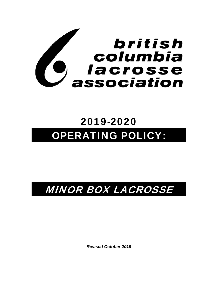

# 2019-2020 OPERATING POLICY:

# MINOR BOX LACROSSE

*Revised October 2019*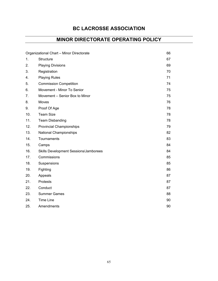# **BC LACROSSE ASSOCIATION**

# **MINOR DIRECTORATE OPERATING POLICY**

| Organizational Chart - Minor Directorate<br>66 |                                              |    |
|------------------------------------------------|----------------------------------------------|----|
| 1.                                             | Structure                                    | 67 |
| 2.                                             | <b>Playing Divisions</b>                     | 69 |
| 3.                                             | Registration                                 | 70 |
| 4.                                             | <b>Playing Rules</b>                         | 71 |
| 5.                                             | <b>Commission Competition</b>                | 74 |
| 6.                                             | Movement - Minor To Senior                   | 75 |
| 7.                                             | Movement - Senior Box to Minor               | 75 |
| 8.                                             | Moves                                        | 76 |
| 9.                                             | Proof Of Age                                 | 78 |
| 10.                                            | <b>Team Size</b>                             | 78 |
| 11.                                            | <b>Team Disbanding</b>                       | 78 |
| 12.                                            | <b>Provincial Championships</b>              | 79 |
| 13.                                            | <b>National Championships</b>                | 82 |
| 14.                                            | Tournaments                                  | 83 |
| 15.                                            | Camps                                        | 84 |
| 16.                                            | <b>Skills Development Sessions/Jamborees</b> | 84 |
| 17.                                            | Commissions                                  | 85 |
| 18.                                            | Suspensions                                  | 85 |
| 19.                                            | Fighting                                     | 86 |
| 20.                                            | Appeals                                      | 87 |
| 21.                                            | Protests                                     | 87 |
| 22.                                            | Conduct                                      | 87 |
| 23.                                            | <b>Summer Games</b>                          | 88 |
| 24.                                            | <b>Time Line</b>                             | 90 |
| 25.                                            | Amendments                                   | 90 |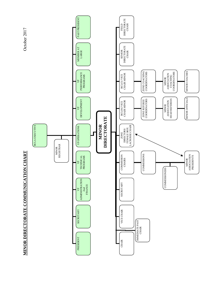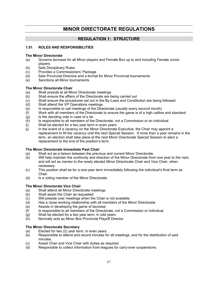# **MINOR DIRECTORATE REGULATIONS**

# **REGULATION 1: STRUCTURE**

#### **1.01 ROLES AND RESPONSIBILITIES**

#### **The Minor Directorate**

- (a) Governs lacrosse for all Minor players and Female Box up to and including Female Junior players.
- (b) Sets Disciplinary Rules
- (c) Provides a Commissioners' Package
- $\overrightarrow{a}$  Sets Provincial Directive and a format for Minor Provincial tournaments
- (e) Sanctions all Minor tournaments

#### **The Minor Directorate Chair**

- (a) Shall preside at all Minor Directorate meetings
- (b) Shall ensure the affairs of the Directorate are being carried out
- (c) Shall ensure the procedures set out in the By-Laws and Constitution are being followed
- (d) Shall attend the VP Operations meetings
- (e) Is responsible to call meetings of the Directorate (usually every second month)
- (f) Work with all members of the Directorate to ensure the game is of a high calibre and standard
- (g) Is the deciding vote in case of a tie
- (h) Is responsible to all members of the Directorate, not a Commission or an individual
- (i) Shall be elected for a two year term in even years
- (j) In the event of a vacancy on the Minor Directorate Executive, the Chair may appoint a replacement to fill the vacancy until the next Special Session. If more than a year remains in the term, an election shall take place at the next Minor Directorate Special Session to elect a replacement to the end of the position's term.

#### **The Minor Directorate Immediate Past Chair**

- (a) Shall act as a liaison between the previous and current Minor Directorate.
- (b) Will help maintain the continuity and direction of the Minor Directorate from one year to the next, and will act as mentor to the newly elected Minor Directorate Chair and Vice Chair, when necessary.
- (c) This position shall be for a one-year term immediately following the individual's final term as Chair.
- (d) Is a voting member of the Minor Directorate.

# **The Minor Directorate Vice Chair**

- (a) Shall attend all Minor Directorate meetings
- (b) Shall assist the Chair as requested
- (c) Will preside over meetings when the Chair is not available
- (d) Has a close working relationship with all members of the Minor Directorate
- (e) Assists in developing the game of lacrosse
- $(f)$  Is responsible to all members of the Directorate, not a Commission or individual
- (g) Shall be elected for a two year term, in odd years
- (h) Normally acts as Minor Box Provincial Playoff Director

# **The Minor Directorate Secretary**

- (a) Elected for two (2) year term, in even years.
- (b) Responsible to attend and record minutes for all meetings, and for the distribution of said minutes.
- (c) Assist Chair and Vice Chair with duties as required.
- (d) Responsible to collect information from leagues for carry-over suspensions.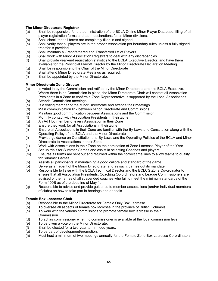### **The Minor Directorate Registrar**

- (a) Shall be responsible for the administration of the BCLA Online Minor Player Database, filing of all player registration forms and team declarations for all Minor divisions.
- (b) Shall check that all forms are completely filled in and signed.
- (c) Shall verify that all players are in the proper Association per boundary rules unless a fully signed transfer is provided.
- (d) Shall maintain a Grandfathered and Transferred list of Players
- (e) Shall work with Minor Association Registrars to deal with any discrepancies.
- (f) Shall provide year-end registration statistics to the BCLA Executive Director, and have them available for the Provincial Playoff Director by the Minor Directorate Declaration Meeting.
- (g) Shall be responsible to the Chair of the Minor Directorate
- (h) Shall attend Minor Directorate Meetings as required.
- (i) Shall be appointed by the Minor Directorate.

#### **Minor Directorate Zone Director**

- (a) Is voted in by the Commission and ratified by the Minor Directorate and the BCLA Executive. Where there is no Commission in place, the Minor Directorate Chair will contact all Association Presidents in a Zone to confirm a Zone Representative is supported by the Local Associations.
- (b) Attends Commission meetings
- (c) Is a voting member of the Minor Directorate and attends their meetings
- (d) Main communication link between Minor Directorate and Commissions
- (e) Maintain good communication between Associations and the Commission
- (f) Monthly contact with Association Presidents in their Zone
- (g) An Ad Hoc member of every Association in their Zone
- (h) Ensure they work for all Associations in their Zone
- (i) Ensure all Associations in their Zone are familiar with the By-Laws and Constitution along with the Operating Policy of the BCLA and the Minor Directorate
- (j) Provide guidance on Constitution and By-Laws and the Operating Policies of the BCLA and Minor Directorate to Associations in their Zone
- (k) Work with Associations in their Zone on the nomination of Zone Lacrosse Player of the Year
- (l) Set up trials for Summer Games and assist in selecting Coaches and players
- (m) Ensures all forms are sent out and returned within the correct time lines to allow teams to quality for Summer Games
- (n) Assists all participants in maintaining a good calibre and standard of the game
- (o) Serve as an agent of the Minor Directorate, and as such, carries out its mandate
- (p) Responsible to liaise with the BCLA Technical Director and the BCLCG Zone Co-ordinator to ensure that all Association Presidents, Coaching Co-ordinators and League Commissioners are advised of the names of all suspended coaches who fail to meet the minimum standards of the Form 100B as of the deadline of May 1.
- (q) Responsible to advise and provide guidance to member associations (and/or individual members of clubs) on how to take part in hearings and appeals.

#### **Female Box Lacrosse Chair**

- (a) Responsible to the Minor Directorate for Female Only Box Lacrosse.
- (b) To oversee all aspects of female box lacrosse in the province of British Columbia
- (c) To work with the various commissions to promote female box lacrosse in their Commission
- (d) To act as commissioner when no commissioner is available at the local commission level
- (e) To be given a vote on the Minor Directorate.
- (f) Shall be elected for a two-year term in odd years.
- (g) To be part of development/promotion.
- (h) Must host a minimum of two meetings annually for the Female Zone Box Lacrosse Co-ordinators.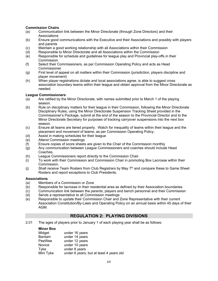#### **Commission Chairs**

- (a) Communication link between the Minor Directorate (through Zone Directors) and their **Associations**
- (b) Ensure good communications with the Executive and their Associations and possibly with players and parents
- (c) Maintain a good working relationship with all Associations within their Commission
- (d) Responsible to Minor Directorate and all Associations within the Commission
- (e) Responsible for schedule and guidelines for league play and Provincial play-offs in their **Commission**
- (f) Select their Commissioners, as per Commission Operating Policy and acts as Head **Commissioner**
- (g) First level of appeal on all matters within their Commission (jurisdiction, players discipline and player movement)
- (h) When player registrations dictate and local associations agree, is able to suggest cross association boundary teams within their league and obtain approval from the Minor Directorate as needed.

#### **League Commissioners**

- (a) Are ratified by the Minor Directorate, with names submitted prior to March 1 of the playing season.
- (b) Rule on disciplinary matters for their league in their Commission, following the Minor Directorate Disciplinary Rules, using the Minor Directorate Suspension Tracking Sheet provided in the Commissioner's Package, submit at the end of the season to the Provincial Director and to the Minor Directorate Secretary for purposes of tracking carryover suspensions into the next box season.
- (c) Ensure all teams are tiered properly. Watch for inequality of teams within their league and the placement and movement of teams, as per Commission Operating Policy.
- (d) Assist in making schedules for their league
- (e) Attend Commission meetings
- (f) Ensure copies of score sheets are given to the Chair of the Commission monthly
- (g) Any communication between League Commissioners and coaches should include Head Coaches.
- (h) League Commissioners report directly to the Commission Chair.
- (i) To work with their Commission and Commission Chair in promoting Box Lacrosse within their Commission.
- (j) Shall receive Team Rosters from Club Registrars by May  $7<sup>th</sup>$  and compare these to Game Sheet Rosters and report exceptions to Club Presidents.

#### **Associations**

- (a) Members of a Commission or Zone
- (b) Responsible for lacrosse in their residential area as defined by their Association boundaries.
- (c) Communication link between the parents, players and bench personnel and their Commission
- (d) Sends a representative to all Commission meetings
- (e) Responsible to update their Commission Chair and Zone Representative with their current Association Constitution/By-Laws and Operating Policy on an annual basis within 45 days of their AGM.

# **REGULATION 2: PLAYING DIVISIONS**

2.01 The ages of players prior to January 1 of each playing year shall be as follows:

#### **Minor Box**

| Midget        | under 16 years                          |
|---------------|-----------------------------------------|
| <b>Bantam</b> | under 14 years                          |
| PeeWee        | under 12 years                          |
| <b>Novice</b> | under 10 years                          |
| Tyke          | under 8 years                           |
| Mini Tyke     | under 6 years, but at least 4 years old |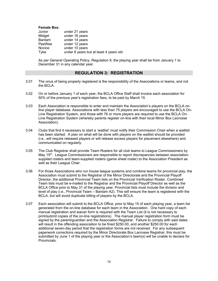#### **Female Box**:

| Junior        | under 21 years                         |
|---------------|----------------------------------------|
| Midget        | under 16 years                         |
| <b>Bantam</b> | under 14 years                         |
| PeeWee        | under 12 years                         |
| <b>Novice</b> | under 10 years                         |
| Tyke          | under 8 years but at least 4 years old |

As per General Operating Policy, Regulation 9, the playing year shall be from January 1 to December 31 in any calendar year.

# **REGULATION 3: REGISTRATION**

- 3.01 The onus of being properly registered is the responsibility of the Associations or teams, and not the BCLA.
- 3.02 On or before January 1 of each year, the BCLA Office Staff shall invoice each association for 50% of the previous year's registration fees, to be paid by March 15.
- 3.03 Each Association is responsible to enter and maintain the Association's players on the BCLA online player database. Associations with less than 75 players are encouraged to use the BCLA On-Line Registration System, and those with 76 or more players are required to use the BCLA On-Line Registration System (whereby parents register on-line with their local Minor Box Lacrosse Association).
- 3.04 Clubs that find it necessary to start a 'waitlist' must notify their Commission Chair when a waitlist has been started. A plan on what will be done with players on the waitlist should be provided (i.e., will require released players or will release excess players for placement elsewhere) and communicated on regularly.
- 3.05 The Club Registrar shall provide Team Rosters for all club teams to League Commissioners by May 15<sup>th</sup>. League Commissioners are responsible to report discrepancies between associationsupplied rosters and team-supplied rosters (game sheet roster) to the Association President as well as their League Chair.
- 3.06 For those Associations who run house league systems and combine teams for provincial play, the Association must submit to the Registrar of the Minor Directorate and the Provincial Playoff Director, the additional Provincial Team lists on the Provincial Verification Roster. Combined Team lists must be e-mailed to the Registrar and the Provincial Playoff Director as well as the BCLA Office prior to May 31 of the playing year. Provincial lists must include the division and level of play (i.e., Provincial Team – Bantam A2). This will ensure the team is registered with the BCLA, but will avoid duplicate billing of players by the BCLA.
- 3.07 Each association will submit to the BCLA Office, prior to May 15 of each playing year, a team list generated from the on-line database for each team in the Association. One hard copy of each manual registration and waiver form is required with the Team List (it is not necessary to print/submit copies of the on-line registrations). The manual player registration form must be signed by the parent/guardian and the Association Registrar. Failure to comply with said dates will result in the offending association to be fined \$250.00, and another \$250.00 for each additional seven-day period that the registration forms are not received. For any subsequent paperwork corrections required by the Minor Directorate Box Lacrosse Registrar, this must be submitted by June 1 of the playing year or the Association's team(s) will be unable to declare for Provincials.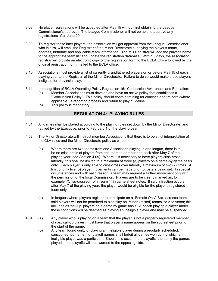- 3.08 No player registrations will be accepted after May 15 without first obtaining the League Commissioner's approval. The League Commissioner will not be able to approve any registrations after June 20.
- 3.09 To register these later players, the association will get approval from the League Commissioner who in turn, will email the Registrar of the Minor Directorate supplying the player's name, address, birthdate and applicable team information. The MD Registrar will add the player's name to the appropriate team list and update the registration database. Within 5 days, the association registrar will provide an electronic copy of the registration form to the BCLA Office followed by the original registration form mailed to the BCLA office.
- 3.10 Associations must provide a list of currently grandfathered players on or before May 15 of each playing year to the Registrar of the Minor Directorate. Failure to do so would make these players ineligible for provincial play.
- 3.11 In recognition of BCLA Operating Policy Regulation 16: Concussion Awareness and Education: (a) Member Associations must develop and have an active policy that establishes a
	- "Concussion Policy". This policy should contain training for coaches and trainers (where applicable), a reporting process and return to play guideline.
	- (b) This policy is mandatory.

# **REGULATION 4: PLAYING RULES**

- 4.01 All games shall be played according to the playing rules set down by the Minor Directorate, and ratified by the Executive, prior to February 1 of the playing year.
- 4.02 The Minor Directorate will instruct member Associations that there is to be strict interpretation of the CLA rules and the Minor Directorate policy as written.
	- (a) Where there are two teams from one Association playing in one league, there is to be no criss-cross of players from one team to another and back after May 7 of the playing year (see Section 4.09). Where it is necessary to have players criss-cross laterally, this shall be limited to a maximum of three (3) players on a game-by-game basis only. Each player is only able to criss-cross over laterally a maximum of two (2) times. A limit of only five (5) player movements can be made prior to rosters being set. In special circumstances and with valid reason, a team may request a further movement only with the permission of the local Commission. Players are to be clearly marked as, for example, "Criss-crossed from Team 1" in game sheet notes. If said infraction occurs after May 7 of the playing year, the player would be eligible for the player's registered team only.
	- (b) In leagues where players register to participate on a "Female Only" Box lacrosse team, said players will not be permitted to also play on 'Minor' (mixed) teams, or vice versa; this includes as 'call-up' players on a game by game basis. A coach playing a player under these conditions will be deemed as playing an ineligible player and may be suspended.
- 4.04 (a) Any player who is playing on a team that the player is not a properly registered member of (i.e., call-up player) must have that player's name appear on the scoresheet prior to the start of the game.
	- (b) Any team found guilty of playing an ineligible player during a regularly scheduled, sanctioned tournament or playoff games shall forfeit all games won during which an ineligible player was a participant. Should this occur in the playoffs, then only the games played in the playoffs will be awarded to the opposing side.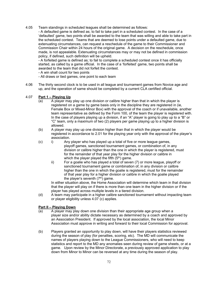4.05 Team standings in scheduled leagues shall be determined as follows:

- A defaulted game is defined as; to fail to take part in a scheduled contest. In the case of a 'defaulted' game, two points shall be awarded to the team that was willing and able to take part in the scheduled contest. Teams that are deemed to lose points under a defaulted game, due to extenuating circumstances, can request a reschedule of the game to their Commissioner and Commission Chair within 24 hours of the original game. A decision on the reschedule, once made, is not appealable. Extenuating circumstances may or may not be defined in commission policy, if defined, such definition will be upheld.

 - A forfeited game is defined as; to fail to complete a scheduled contest once it has officially started, as called by a game official. In the case of a 'forfeited' game, two points shall be awarded to the team that did not forfeit the contest.

- A win shall count for two points
- All draws or tied games, one point to each team
- 4.06 The thirty second clock is to be used in all league and tournament games from Novice age and up, and the operation of same should be completed by a current CLA certified official.

#### 4.07 **Part 1 – Playing Up**

- (a) A player may play up one division or calibre higher than that in which the player is registered on a game by game basis only in the discipline they are registered in (ie, Female Box or Mixed-Minor Box) with the approval of the coach or if unavailable, another team representative as defined by the Form 100, of the team the player is registered with. In the case of players playing up a division, if an "A" player is going to play up to a "B" or "C" team, only a maximum of two (2) players per game playing up to a higher division is allowed.
- (b) A player may play up one division higher than that in which the player would be registered in accordance to 2.01 for the playing year only with the approval of the player's association.
- (c) i) Any player who has played up a total of five or more league games, playoff games, sanctioned tournament games, or combination of, in any division or calibre higher than the one in which the player is registered, must for the remainder of that year play for the higher division or calibre in which the player played the fifth  $(5<sup>th</sup>)$  game.
	- ii) For a goalie who has played a total of seven (7) or more league, playoff or sanctioned tournament game or combination of, in any division or calibre higher than the one in which the goalie is registered, must for the remainder of that year play for a higher division or calibre in which the goalie played the player's seventh  $(7<sup>th</sup>)$  game.

In either situation above, the Home Association will determine which team in that division that the player will play on if there is more than one team in the higher division or if the player has played across multiple levels in a tiered division.

(d) A team may participate in a higher calibre sanctioned tournament without impacting team or player eligibility unless 4.07 (c) applies.

#### **Part II – Playing Down**

- (a) A player may play down one division than their appropriate age group when a player size and/or ability dictate necessary as determined by a coach and approved by an Association President. If approved by the local association, the local Minor Association must approve in writing and forward to their local Commission for approval.
- (b) Players granted an opportunity to play down, will have their players statistics reviewed during the season of play (for penalties, scoring, etc). The MD will communicate the names of players playing down to the League Commissioners, who will need to keep statistics and report to the MD any anomalies seen during review of game sheets, or at a game. Upon review by the Minor Directorate, a previously approved application to play down from Minor to Minor can be reversed at any time during the season of play.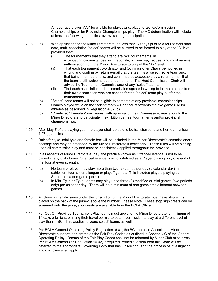An over-age player MAY be eligible for playdowns, playoffs, Zone/Commission Championships or for Provincial Championships play. The MD determination will include at least the following; penalties review, scoring, participation.

- 4.08 (a) With application to the Minor Directorate, no less than 30 days prior to a tournament start date, multi-association "select" teams will be allowed to be formed to play at the "A" level provided that:
	- (i) The tournaments that they attend are "A1" tournaments. In extenuating circumstances, with rationale, a zone may request and must receive authorization from the Minor Directorate to play at the "A2" level.
	- (ii) That each tournament co-ordinator and Commissioner Chairs be notified in writing and confirm by return e-mail that the team is a "select" zone team and, that being informed of this, and confirmed as acceptable by a return e-mail that the team is still welcome at the tournament. The Host Commission Chair will advise the Tournament Commissioner of any "select" teams.
	- (iii) That each association in the commission agrees in writing to let the athletes from their own association who are chosen for the "select" team play out for the tournaments.
	- (b) "Select" zone teams will not be eligible to compete at any provincial championships.
	- (c) Games played while on the "select" team will not count towards the five game rule for athletes as described in Regulation 4.07 (c).
	- (d) "Combined" Female Zone Teams, with approval of their Commission, may apply to the Minor Directorate to participate in exhibition games, tournaments and/or provincial championships.
- 4.09 After May 7 of the playing year, no player shall be able to be transferred to another team unless 4.07 (c) applies.
- 4.10 Rules for tyke, mini-tyke and female box will be included in the Minor Directorate's commissioners package and may be amended by the Minor Directorate if necessary. These rules will be binding upon all commission play and must be consistently applied throughout the province.
- 4.11 In all aspects of Minor Directorate Play, the practice known as Offence/Defence is not to be played in any of its forms. Offence/Defence is simply defined as a Player playing only one end of the floor at even strength.
- 4.12 (a) No team or player may play more than two (2) games per day (a calendar day) in exhibition, tournament, league or playoff games. This includes players playing up in Seniors on a one-game permit.
	- (b) In Mini-Tyke or Tyke, teams may play up to three (3) modified or mini games (two periods only) per calendar day. There will be a minimum of one game time allotment between games.
- 4.13 All players in all divisions under the jurisdiction of the Minor Directorate must have stop signs placed on the back of the jersey, above the number. Please Note: These stop sign crests can be screened onto the jerseys, or crests are available from the BCLA Office.
- 4.14 For Out-Of- Province Tournament Play teams must apply to the Minor Directorate, a minimum of 14 days prior to submitting their travel permit, to obtain permission to play at a different level of play than in BC. This applies to 'zone select' teams as well.
- 4.15 Per BCLA General Operating Policy Regulation16.01, the BC Lacrosse Association Minor Directorate supports and promotes the Fair Play Codes as outlined in Appendix C of the General Operating Policy. Breach of the Fair Play Codes shall not be tolerated by Minor Club executives. Per BCLA General OP Regulation 16.02, if required, remedial action from this Code will be deferred to the appropriate Governing Body that has jurisdiction, and the process of investigation and discipline shall apply.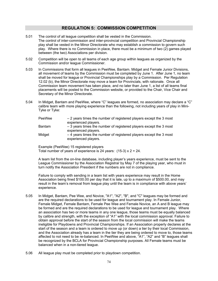# **REGULATION 5: COMMISSION COMPETITION**

- 5.01 The control of all league competition shall be vested in the Commission. The control of inter-commission and inter-provincial competition and Provincial Championship play shall be vested in the Minor Directorate who may establish a commission to govern such play. Where there is no Commission in place, there must be a minimum of two (2) games played between (the two) Associations per division.
- 5.02 Competition will be open to all teams of each age group within leagues as organized by the Commission and/or league Commissioner.
- 5.03 In Commissions that form all leagues in PeeWee, Bantam. Midget and Female Junior Divisions, all movement of teams by the Commission must be completed by June 1. After June 1, no team shall be moved for league or Provincial Championships play by a Commission. Per Regulation 12.02 (b), the Minor Directorate may move a team for Provincials, with rationale. Once all Commission team movement has taken place, and no later than June 1, a list of all teams final placements will be posted to the Commission website, or provided to the Chair, Vice Chair and Secretary of the Minor Directorate.
- 5.04 In Midget, Bantam and PeeWee, where "C" leagues are formed, no association may declare a "C" calibre team with more playing experience than the following, not including years of play in Mini-Tyke or Tyke:

| PeeWee | $-2$ years times the number of registered players except the 3 most<br>experienced players. |
|--------|---------------------------------------------------------------------------------------------|
| Bantam | -3 years times the number of registered players except the 3 most<br>experienced players.   |
| Midget | $-4$ years times the number of registered players except the 3 most<br>experienced players. |

Example (PeeWee) 15 registered players Total number of years of experience is 24 years:  $(15-3) \times 2 = 24$ .

A team list from the on-line database, including player's years experience, must be sent to the League Commissioner by the Association Registrar by May 7 of the playing year, who must in turn notify the Association President if the numbers are not in compliance.

Failure to comply with sending in a team list with years experience may result in the Home Association being fined \$100.00 per day that it is late, up to a maximum of \$500.00, and may result in the team's removal from league play until the team is in compliance with above years' experience.

- 5.05 In Midget, Bantam, Pee Wee, and Novice, "A1", "A2", "B", and "C" leagues may be formed and are the required declarations to be used for league and tournament play. In Female Junior, Female Midget, Female Bantam, Female Pee Wee and Female Novice, an A and B league may be formed and are the required declarations to be used for league and tournament play. Where an association has two or more teams in any one league, those teams must be equally balanced by calibre and strength, with the exception of "A1" with the local commission approval. Failure to obtain approval before the start of the season from the local commission will make the teams ineligible for Playdowns and Provincial Championships. If an Association properly declares at the start of the season and a team is ordered to move up (or down) a tier by their local Commission, and the Association already has a team in the tier they are being ordered to move to, those teams affected to not need to be re-balanced. In PeeWee and above, "A1", "A2" and "B" leagues shall be recognized by the BCLA for Provincial Championship purposes. All Female teams must be balanced when in a non-tiered league.
- 5.06 All league play must be completed prior to playdown competition.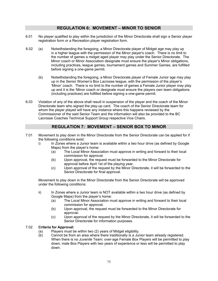# **REGULATION 6: MOVEMENT – MINOR TO SENIOR**

- 6.01 No player qualified to play within the jurisdiction of the Minor Directorate shall sign a Senior player registration form or a Recreation player registration form.
- 6.02 (a) Notwithstanding the foregoing, a Minor Directorate player of Midget age may play up in a higher league with the permission of the Minor player's coach. There is no limit to the number of games a midget aged player may play under the Senior Directorate. The Minor coach or Minor Association designate must ensure the player's Minor obligations, including practices, league games, tournament games and Summer Games, are fulfilled before signing a one-game permit.
	- (b) Notwithstanding the foregoing, a Minor Directorate player of Female Junior age may play up in the Senior Women's Box Lacrosse league, with the permission of the player's 'Minor' coach. There is no limit to the number of games a Female Junior player may play up and it is the 'Minor coach or designate must ensure the players own team obligations (including practices) are fulfilled before signing a one-game permit.
- 6.03 Violation of any of the above shall result in suspension of the player and the coach of the Minor Directorate team who signed the play-up card. The coach of the Senior Directorate team for whom the player played will have any instance where this happens reviewed by the Commissioner of the said Senior Team and the information will also be provided to the BC Lacrosse Coaches Technical Support Group respective Vice Chairs.

# **REGULATION 7: MOVEMENT – SENIOR BOX TO MINOR**

- 7.01 Movement to play down in the Minor Directorate from the Senior Directorate can be applied for if the following conditions exist:
	- i) In Zones where a Junior team is available within a two hour drive (as defined by Google Maps) from the player's home:
		- (a) The Local Minor Association must approve in writing and forward to their local commission for approval.
		- (b) Upon approval, the request must be forwarded to the Minor Directorate for approval before April 1st of the playing year.
		- (c) Upon approval of the request by the Minor Directorate, it will be forwarded to the Senior Directorate for final approval.

Movement to play down in the Minor Directorate from the Senior Directorate will be approved under the following conditions:

- ii) In Zones where a Junior team is NOT available within a two hour drive (as defined by Google Maps) from the player's home:
	- (a) The Local Minor Association must approve in writing and forward to their local commission for approval.
	- (b) Upon approval, the request must be forwarded to the Minor Directorate for approval.
	- (c) Upon approval of the request by the Minor Directorate, it will be forwarded to the Senior Directorate for information purposes.

#### 7.02 **Criteria for Approval:**

- (a) Players must be within two (2) years of Midget eligibility.
- (b) Cannot be from an area where there traditionally is a Junior team already registered. When there is no Juvenile Team: over-age Female Box Players will be permitted to play down; male Box Players with two years of experience or less will be permitted to play down.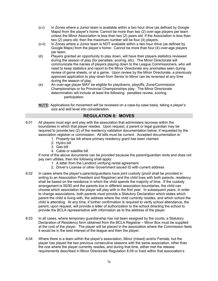- (c-i) In Zones where a Junior team is available within a two hour drive (as defined by Google Maps) from the player's home: Cannot be more than two (2) over-age players per team unless the Minor Association is less than two (2) years old. If the Association is less than two (2) years old, then the maximum number will be four (4) players.
- (c-ii) In Zones where a Junior team is NOT available within a two hour drive (as defined by Google Maps) from the player's home: Cannot be more than four (4) over-age players per team.
- (d) Players granted an opportunity to play down, will have their players statistics reviewed during the season of play (for penalties, scoring, etc). The Minor Directorate will communicate the names of players playing down to the League Commissioners, who will need to keep statistics and report to the Minor Directorate any anomalies seen during review of game sheets, or at a game. Upon review by the Minor Directorate, a previously approved application to play down from Senior to Minor can be reversed at any time during the season of play.
- (e) An over-age player MAY be eligible for playdowns, playoffs, Zone/Commission Championships or for Provincial Championships play. The Minor Directorate determination will include at least the following: penalties review, scoring, participation.

**NOTE:** Applications for movement will be reviewed on a case-by-case basis, taking a player's size and skill level into consideration.

# **REGULATION 8: MOVES**

- 8.01 All players must sign and play with the association that administers lacrosse within the boundaries in which that player resides. Upon request, a parent or legal guardian may be required to provide two (2) of the residency validation documentation below, if requested by the association registrar or commission. All bills must be current. Accepted documentation is:
	- 1. Property tax bill where primary residency grant has been claimed
		- 2. Hydro bill
		- 3. Gas bill
	- 4. Cable or satellite bill

If none of the above documents can be provided because the parent/guardian rents and does not pay own utilities, then the following shall apply:

- 1. A letter from the Landlord verifying rental agreement
- 2. Driver's License or other Government issued ID with current address
- 8.02 In cases where the player's parents/guardians have joint custody (proof shall be provided in writing to an Association President and Registrar) and the child lives with both parents, residency shall be based on the residence in which the child spends the majority of time. If the custody arrangement is 50/50 and the parents live in different association boundaries, the child can choose which association the player will play with in the first year. In subsequent years, in order to change associations, both parents must provide a Statutory Declaration which states which parent the child is living with, the address where the child currently resides, and which school the child is attending. At any time, if further confirmation is required to verify school attendance, the parent, upon request, will provide a letter of authorization to the school directing the school to provide the BCLA representative with information as to the address of the player.
- 8.03 In all cases, where temporary guardianship has not been assigned by the courts, a Statutory Declaration of Residency form obtained from the BCLA Registrar – Minor Box must be supplied at the cost of the player. The player will be placed in the association where the Commission feels it would be in the best interest of the league and then the player.
- 8.04 Where there is a team within the player's association, Minor (mixed) and/or Female, but the player has played the two previous consecutive seasons with the same association, other than the one where the player currently resides, and during that time, either met the release requirements described in Minor Directorate Regulation 8.09 or lived within that association's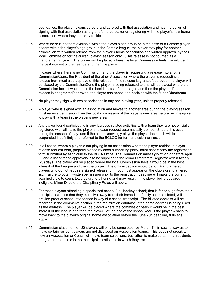boundaries, the player is considered grandfathered with that association and has the option of signing with that association as a grandfathered player or registering with the player's new home association, where they currently reside.

8.05 Where there is no team available within the player's age group or in the case of a Female player, a team within the player's age group in the Female league, the player may play for another association with written release from the player's home association and written approval by their local Commission for the current playing season only. (This release is not counted as a grandfathering year.) The player will be placed where the local Commission feels it would be in the best interest of the League and then the player.

In cases where there is no Commission, and the player is requesting a release into another Commission/Zone, the President of the other Association where the player is requesting a release from must also approve of this release. If the release is granted/approved, the player will be placed by the Commission/Zone the player is being released to and will be placed where the Commission feels it would be in the best interest of the League and then the player. If the release is not granted/approved, the player can appeal the decision with the Minor Directorate.

- 8.06 No player may sign with two associations in any one playing year, unless properly released.
- 8.07 A player who is signed with an association and moves to another area during the playing season must receive permission from the local commission of the player's new area before being eligible to play with a team in the player's new area.
- 8.08 Any player found participating in any lacrosse-related activities with a team they are not officially registered with will have the player's release request automatically denied. Should this occur during the season of play, and if the coach knowingly plays the player, the coach will be suspended indefinitely and referred to the BCLCG for further disciplinary action.
- 8.09 In all cases, where a player is not playing in an association where the player resides, a player release request form, properly signed by each authorizing party, must accompany the registration form submitted by each club to the BCLA Office. The Commission must sign-off on or before April 30 and a list of those approvals is to be supplied to the Minor Directorate Registrar within twenty (20) days. The player will be placed where the local Commission feels it would be in the best interest of the League and then the player. The only exception would be for Grandfathered players who do not require a signed release form, but must appear on the club's grandfathered list. Failure to obtain written permission prior to the registration deadline will make the current year ineligible to count towards grandfathering and may result in the player being declared ineligible. Minor Directorate Disciplinary Rules will apply.
- 8.10 For those players attending a specialized school (i.e., hockey school) that is far enough from their principle residence that they must live away from their immediate family and be billeted, will provide proof of school attendance in way of a school transcript. The billeted address will be recorded in the comments section in the registration database if the home address is being used as the address. The player will be placed where the commission feels it would be in the best interest of the league and then the player. At the end of the school year, if the player wishes to move back to the player's original home association before the June 20<sup>th</sup> deadline, 8.06 shall apply.
- 8.11 Commission placement of US players will only be completed (by March 1<sup>st</sup>) in such a way as to make certain resident players are not displaced on Association teams. This does not speak to how an Association or Coach will make team selections, but rather to make certain that residents are guaranteed spots in the municipalities/districts in which they live.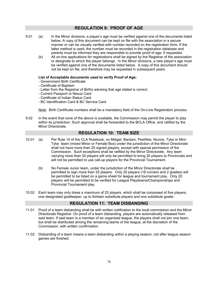# **REGULATION 9: PROOF OF AGE**

- 9.01 (a) In the Minor divisions, a player's age must be verified against one of the documents listed below. A copy of this document can be kept on file with the association in a secure manner or can be visually verified with number recorded on the registration form. If the latter method is used, the number must be recorded in the registration database and parents must be informed they are responsible to provide proof of age, if requested.
	- (b) All on-line applications for registrations shall be signed by the Registrar of the association or designate to which the player belongs. In the Minor divisions, a new player's age must be verified against one of the documents listed below. A copy of this document should not be kept on file, and therefore may be requested in subsequent years.

#### **List of Acceptable documents used to verify Proof of Age:**

- Government Birth Certificate
- Certificate of Baptism
- Letter from the Registrar of Births advising that age stated is correct.
- Current Passport or Nexus Card
- Certificate of Indian Status Card
- BC Identification Card & BC Service Card

Note: Birth Certificate numbers shall be a mandatory field of the On-Line Registration process.

9.02 In the event that none of the above is available, the Commission may permit the player to play within its jurisdiction. Such approval shall be forwarded to the BCLA Office, and ratified by the Minor Directorate.

# **REGULATION 10: TEAM SIZE**

- 10.01 (a) Per Rule 14 of the CLA Rulebook, no Midget, Bantam, PeeWee, Novice, Tyke or Mini- Tyke team (mixed Minor or Female Box) under the jurisdiction of the Minor Directorate shall not have more than 20 signed players, except with special permission of the Commission. Such exceptions shall be ratified by the Minor Directorate. Any team carrying more than 20 players will only be permitted to bring 20 players to Provincials and will not be permitted to use call-up players for the Provincial Tournament.
	- (b) No Female Junior team, under the jurisdiction of the Minor Directorate shall be permitted to sign more than 25 players. Only 20 players (18 runners and 2 goalies) will be permitted to be listed on a game sheet for league and tournament play. Only 20 players will be permitted to be verified for League Playdowns/Championships and Provincial Tournament play.
- 10.02 Each team may only dress a maximum of 20 players, which shall be composed of five players, one designated goalkeeper, up to thirteen substitute players and one substitute goalie.

# **REGULATION 11: TEAM DISBANDING**

- 11.01 Proof of a team disbanding shall be with written notification to the local commission and the Minor Directorate Registrar. On proof of a team disbanding, players are automatically released from said team. If said team is a member of an organized league, the players shall not join one team, but shall be distributed among the remaining teams of the league, at the discretion of the Commission, with written confirmation.
- 11.02 Disbanding of a team means a team disbanding within a playing season, not after league season games are finished.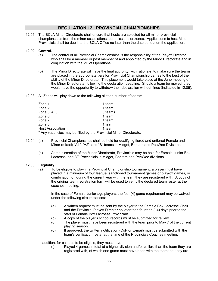# **REGULATION 12: PROVINCIAL CHAMPIONSHIPS**

12.01 The BCLA Minor Directorate shall ensure that hosts are selected for all minor provincial championships from the minor associations, commissions or zones. Applications to host Minor Provincials shall be due into the BCLA Office no later than the date set out on the application.

#### 12.02 **Control.**

- (a) The control of all Provincial Championships is the responsibility of the Playoff Director who shall be a member or past member of and appointed by the Minor Directorate and in conjunction with the VP of Operations.
- (b) The Minor Directorate will have the final authority, with rationale, to make sure the teams are placed in the appropriate tiers for Provincial Championship games to the best of the ability of the Minor Directorate. This placement would take place at the June meeting of the Minor Directorate, following the declaration deadline. Should a team be moved, they would have the opportunity to withdraw their declaration without fines (indicated in 12.06).
- 12.03 All Zones will play down to the following allotted number of teams:

| Zone 1                  | 1 team                                                             |
|-------------------------|--------------------------------------------------------------------|
| Zone 2                  | 1 team                                                             |
| Zone 3, 4, 5            | 3 teams                                                            |
| Zone 6                  | 1 team                                                             |
| Zone 7                  | 1 team                                                             |
| Zone 8                  | 1 team                                                             |
| <b>Host Association</b> | 1 team                                                             |
|                         | * Any vacancies may be filled by the Provincial Minor Directorate. |

- 12.04 (a) Provincial Championships shall be held for qualifying tiered and untiered Female and Minor (mixed) "A1", "A2", and "B" teams in Midget, Bantam and PeeWee Divisions.
	- (b) At the discretion of the Minor Directorate, Provincials may be held for Female Junior Box Lacrosse and "C" Provincials in Midget, Bantam and PeeWee divisions.

#### 12.05 **Eligibility**.

(a) To be eligible to play in a Provincial Championship tournament, a player must have played in a minimum of four league, sanctioned tournament games or play-off games, or combination of, during the current year with the team they are registered with. A copy of the original team registration form will be used to verify the declared team roster at the coaches meeting.

In the case of Female Junior-age players, the four (4) game requirement may be waived under the following circumstances:

- (a) A written request must be sent by the player to the Female Box Lacrosse Chair and the Provincial Playoff Director no later than fourteen (14) days prior to the start of Female Box Lacrosse Provincials.
- (b) A copy of the player's school records must be submitted for review.
- (c) The player must have been registered with the team prior to May 7 of the current playing season.
- (d) If approved, the written notification (CoP or E-mail) must be submitted with the team's verification roster at the time of the Provincials Coaches meeting.

In addition, for call-ups to be eligible, they must have

(i) Played 4 games in total at a higher division and/or calibre than the team they are registered with, of which one game must have been with the team that they are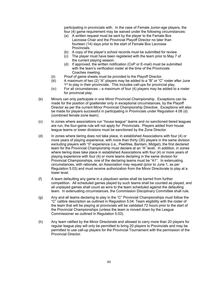participating in provincials with. In the case of Female Junior-age players, the four (4) game requirement may be waived under the following circumstances:

- (a) A written request must be sent by the player to the Female Box Lacrosse Chair and the Provincial Playoff Director no later than fourteen (14) days prior to the start of Female Box Lacrosse Provincials.
- (b) A copy of the player's school records must be submitted for review.
- (c) The player must have been registered with the team prior to May 7 of the current playing season.
- (d) If approved, the written notification (CoP or E-mail) must be submitted with the team's verification roster at the time of the Provincials Coaches meeting.
- (ii) Proof of game sheets must be provided to the Playoff Director.
- (iii) A maximum of two (2) "A" players may be added to a "B" or "C" roster after June 1<sup>st</sup> to play in their provincials. This includes call-ups for provincial play.
- (iv) For all circumstances a maximum of four (4) players may be added to a roster for provincial play.
- (b) Minors can only participate in one Minor Provincial Championship. Exceptions can be made for the position of goaltender only in exceptional circumstances, by the Playoff Director as per the current Minor Provincial Championship Directive. Exceptions will also be made for players successful in participating in Provincials under Regulation 4.08 (d) (combined female zone team).
- (c) In zones where associations run "house league" teams and no sanctioned tiered leagues are run, the four-game rule will not apply for Provincials. Players added from house league teams or lower divisions must be sanctioned by the Zone Director.
- (d) In zones where tiering does not take place, in established Associations with four (4) or more years of playing experience, with more than thirty (30) players in the same division excluding players with "0" experience (i.e., PeeWee, Bantam, Midget), the first declared team for the Provincial Championship must declare at an "A" level. In addition, in zones where tiering does take place in established Associations with four (4) or more years of playing experience with four (4) or more teams declaring in the same division for Provincial Championships, one of the declaring teams must be "A1". In extenuating circumstances, with rationale, an Association may request (prior to June 1, as per Regulation 5.03) and must receive authorization from the Minor Directorate to play at a lower level.
- (f) A team defaulting any game in a playdown series shall be barred from further competition. All scheduled games played by such teams shall be counted as played, and all unplayed games shall count as wins to the team scheduled against the defaulting team. In extenuating circumstances, the Commission Disciplinary Committee shall rule.
- (g) Any and all teams declaring to play in the "C" Provincial Championships must follow the "C" calibre description as outlined in Regulation 5.04. Team eligibility with the roster of the team that will be playing at provincials will be validated 72 hours prior to the start of the Provincial Championships (unless the team is moved down by the League Commissioner as outlined in Regulation 5.03).
- (h) Any team ratified by the Minor Directorate and allowed to carry more than 20 players for regular league play will only be permitted to bring 20 players to Provincials and may be permitted to use call-up players for the Provincial Tournament with the permission of the Provincial Director.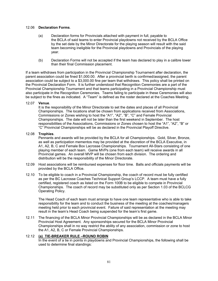#### 12.06 **Declaration Forms**.

- (a) Declaration forms for Provincials attached with payment in full, payable to the BCLA of said teams to enter Provincial playdowns not received by the BCLA Office by the set date by the Minor Directorate for the playing season will result with the said team becoming ineligible for the Provincial playdowns and Provincials of the playing year.
- (b) Declaration Forms will not be accepted if the team has declared to play in a calibre lower than their final Commission placement.

If a team withdraws from participation in the Provincial Championship Tournament after declaration, the parent association could be fined \$1,000.00. After a provincial berth is confirmed/assigned, the parent association could be subject to a \$3,000.00 fine per team that withdraws. This policy shall be printed on the Provincial Declaration Form. It is further understood that Recognition Ceremonies are a part of the Provincial Championship Tournament and that teams participating in a Provincial Championship must also participate in the Recognition Ceremonies. Teams failing to participate in these Ceremonies will also be subject to the fines as indicated. A "Team" is defined as the roster declared at the Coaches Meeting.

#### 12.07 **Venue**.

It is the responsibility of the Minor Directorate to set the dates and places of all Provincial Championships. The locations shall be chosen from applications received from Associations, Commissions or Zones wishing to host the "A1", "A2", "B", "C" and Female Provincial Championships. The date will not be later than the first weekend in September. The host responsibilities of the Associations, Commissions or Zones chosen to host the "A1", "A2", "B" or "C" Provincial Championships will be as declared in the Provincial Playoff Directive.

#### 12.08 **Trophies**.

Pennants and awards will be provided by the BCLA for all Championships. Gold, Silver, Bronze, as well as participation mementos may be provided at the discretion of the BCLA Executive, in A1, A2, B, C and Female Box Lacrosse Championships. Tournament All-Stars consisting of one playing member of each team. Game MVPs (one from each team) will receive awards in all Provincial games. An overall MVP will be chosen from each division. The ordering and distribution will be the responsibility of the Minor Directorate.

- 12.09 Host associations will be reimbursed expenses for floor time. Balls and officials payments will be provided by the BCLA Office.
- 12.10 To be eligible to coach in a Provincial Championship, the coach of record must be fully certified as per the BC Lacrosse Coaches Technical Support Group's LCCP. A team must have a fully certified, registered coach as listed on the Form 100B to be eligible to compete in Provincial Championships. The coach of record may be substituted only as per Section 1.03 of the BCLCG Operating Policy.

The Head Coach of each team must arrange to have one team representative who is able to take responsibility for the team and to conduct the business of the meeting at the coaches/managers meeting held prior to each provincial event. Failure of said representation at the meeting may result in the team's Head Coach being suspended for the team's first game.

12.11 The financing of the BCLA Minor Provincial Championships will be as declared in the BCLA Minor Provincial Host Agreement. Any sponsorships secured for the BCLA Minor Provincial Championships shall in no way restrict the ability of any association, commission or zone to host the A1, A2, B, C or Female Provincial Championships.

#### 12.12 **(a) TIE-BREAKER RULE –ROUND ROBIN**

 In the event of a tie in points in playdowns and Provincial Championships, the following shall be used to determine final standings: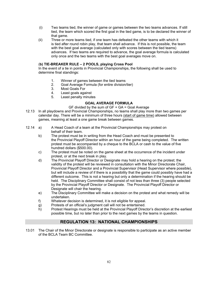- (i) Two teams tied, the winner of game or games between the two teams advances. If still tied, the team which scored the first goal in the tied game, is to be declared the winner of that game.
- (ii) Three or more teams tied, if one team has defeated the other teams with which it is tied after round robin play, that team shall advance. If this is not possible, the team with the best goal average (calculated only with scores between the tied teams) advances. If two teams are required to advance, the goal average formula is calculated only once and the two teams with the best goal averages move on.

#### (**b) TIE-BREAKER RULE – 2 POOLS, playing Cross Pool**

In the event of a tie in points in Provincial Championships, the following shall be used to determine final standings:

- 1. Winner of games between the tied teams
- 2. Goal Average Formula (for entire division/tier)
- 3. Most Goals For
- 4. Least goals against
- 5. Least penalty minutes

#### **GOAL AVERAGE FORMULA**

#### GF divided by the sum of  $GF + GA = Goal$  Average

- 12.13 In all playdowns and Provincial Championships, no teams shall play more than two games per calendar day. There will be a minimum of three hours (start of game time) allowed between games, meaning at least a one game break between games.
- 12.14 a) A Head Coach of a team at the Provincial Championships may protest on behalf of their team.
	- b) The protest must be in writing from the Head Coach and must be presented to the Provincial Playoff Director within an hour of the game being completed. The written protest must be accompanied by a cheque to the BCLA or cash to the value of five hundred dollars (\$500.00).
	- c) The protest must be noted on the game sheet at the occurrence of the incident under protest, or at the next break in play.
	- d) The Provincial Playoff Director or Designate may hold a hearing on the protest; the validity of the protest will be reviewed in consultation with the Minor Directorate Chair, Provincial Playoff Director and a Provincial Supervisor (Head Supervisor where possible), but will include a review of if there is a possibility that the game could possibly have had a different outcome. This is not a hearing but only a determination if the hearing should be held. The Disciplinary Committee shall consist of not less than three (3) people selected by the Provincial Playoff Director or Designate. The Provincial Playoff Director or Designate will chair the hearing.
	- e) The Disciplinary Committee will make a decision on the protest and what remedy will be undertaken.
	- f) Whatever decision is determined, it is not eligible for appeal.
	- g) Protests of an official's judgment call will not be entertained.
	- h) Protest Hearings must be held at the Provincial Playoff Director's discretion at the earliest possible time, but no later than prior to the next games by the teams in question.

# **REGULATION 13: NATIONAL CHAMPIONSHIPS**

13.01 The Chair of the Minor Directorate or designate is responsible to participate as an active member of the BCLA Team BC Committee.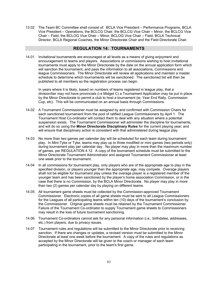13.02 The Team BC Committee shall consist of: BCLA Vice President – Performance Programs, BCLA Vice President – Operations, the BCLCG Chair, the BCLCG Vice Chair – Minor, the BCLCG Vice Chair – Field, the BCLOG Vice Chair – Minor, BCLOG Vice Chair – Field, BCLA Technical Director, BCLA Regional Coaches, the Minor Directorate Chair and the Field Directorate Chair.

## **REGULATION 14: TOURNAMENTS**

14.01 Invitational tournaments are encouraged at all levels as a means of giving enjoyment and encouragement to teams and players. Associations or commissions wishing to host invitational tournaments must apply to the Minor Directorate by the date on the annual application form which will sanction the tournament, and pass the information to all associations, Commissions and league Commissioners. The Minor Directorate will review all applications and maintain a master schedule to determine which tournaments will be sanctioned. The sanctioned list will then be published to all members so the registration process can begin.

In years where it is likely, based on numbers of teams registered in league play, that a division/tier may not have provincials (i.e Midget C) a Tournament Application may be put in place by the Minor Directorate to permit a club to host a tournament (ie, Year End Rally, Commission Cup, etc). This will be communicated on an annual basis through Commissions.

- 14.02 A Tournament Commissioner must be assigned by and confirmed with Commission Chairs for each sanctioned tournament from the pool of ratified League Commissioners by April 1. The Tournament Host Co-ordinator will contact them to deal with any situation where a potential suspension exists. The Tournament Commissioner will administer the discipline for tournaments, and will do so using the **Minor Directorate Disciplinary Rules** for the current playing year; and will ensure that disciplinary action is consistent with that administered during league play.
- 14.03 No more than two games per calendar day will be scheduled for each team during tournament play. In Mini-Tyke or Tyke, teams may play up to three modified or mini games (two periods only) during tournament play per calendar day. No player may play in more than the maximum number of games, per REGULATION 4.12. A copy of the tournament schedule must be submitted to the Minor Directorate Tournament Administrator and assigned Tournament Commissioner at least one week prior to the tournament.
- 14.04 In all commissions for tournament play, only players who are of the appropriate age to play in the specified division, or players younger than the appropriate age, may compete. Overage players shall not be eligible for tournament play unless the overage player is a registered member of the younger team and has been sanctioned by the player's home association Commission, or in the case that there is no Commission, by the BCLA Minor Directorate. No player may play in more than two (2) games per calendar day by playing on different teams.
- 14.05 All tournament game sheets must be collected by the Commission-approved Tournament Commissioner. Electronic copies of all game sheets must be sent to all League Commissioners for the Leagues of all participating teams within ten (10) days of the tournament's conclusion by the Commissioner. Original game sheets must be retained by the Tournament Commissioner. Failure of the Tournament Co-ordinator to supply Tournament game sheets to Commissioners may result in the loss of future tournament sanctioning.
- 14.06 Tournament Co-ordinators cannot ask for any personal information (i.e., birthdates, addresses, etc.) from players, due to privacy issues.
- 14.07 Tournament rules and regulations will be submitted to the Minor Directorate prior to receiving sanction. If there are changes or updates, a revised version must be submitted to the Minor Directorate at least one week before the tournament. A copy of the rules and regulations as accepted by the Minor Directorate will be given to the coach or manager of each team participating in the tournament, prior to the team's first game.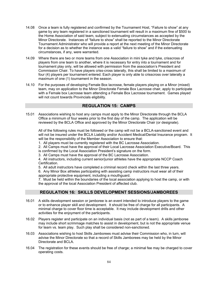- 14.08 Once a team is fully registered and confirmed by the Tournament Host, "Failure to show" at any game by any team registered in a sanctioned tournament will result in a maximum fine of \$500 to the Home Association of said team, subject to extenuating circumstances as accepted by the Minor Directorate. Instances of "failure to show" shall be reported to the Minor Directorate Tournament Administrator who will provide a report at the next meeting of the Minor Directorate for a decision as to whether the instance was a valid "failure to show" and if the extenuating circumstances, if any, were warranted.
- 14.09 Where there are two or more teams from one Association in mini tyke and tyke, crisscross of players from one team to another, where it is necessary for entry into a tournament and for tournament play only, will be allowed with permission from the association's President and Commission Chair. To have players criss-cross laterally, this shall be limited to a maximum of four (4) players per tournament entered. Each player is only able to crisscross over laterally a maximum of one (1) tournament in the season.
- 14.10 For the purposes of developing Female Box lacrosse, female players playing on a Minor (mixed) team, may on application to the Minor Directorate Female Box Lacrosse chair, apply to participate with a Female box Lacrosse team attending a Female Box Lacrosse tournament. Games played will not count towards Provincials eligibility.

# **REGULATION 15: CAMPS**

15.01 Associations wishing to host any camps must apply to the Minor Directorate through the BCLA Office a minimum of four weeks prior to the first day of the camp. The application will be reviewed by the BCLA Office and approved by the Minor Directorate Chair (or designate).

All of the following rules must be followed or the camp will not be a BCLA-sanctioned event and will not be insured under the BCLA Liability and/or Accident Medical/Dental Insurance program. It will be the responsibility of the Member Association to ensure that:

1. All players must be currently registered with the BC Lacrosse Association.

2. All Camps must have the approval of their Local Lacrosse Association Executive/Board. This is confirmed by the Local Association President's signature on the form.

3. All Camps must have the approval of the BC Lacrosse Association.

4. All instructors, including current senior/junior athletes have the appropriate NCCP Coach Certification.

5. All adult instructors have completed a criminal record check within the last three years.

6. Any Minor Box athletes participating with assisting camp instructors must wear all of their appropriate protective equipment, including a mouthguard.

7. Must be held within the boundaries of the local association applying to host the camp, or with the approval of the local Association President of affected club.

# **REGULATION 16: SKILLS DEVELOPMENT SESSIONS/JAMBOREES**

- 16.01 A skills development session or jamboree is an event intended to introduce players to the game or to enhance player skill and development. It should be free of charge for all participants. A minimal charge to cover floor time is acceptable. It may include development drills and other activities for the enjoyment of the participants.
- 16.02 Players register and participate on an individual basis (not as part of a team). A skills jamboree may include short scrimmage matches to assist in development, but is not the appropriate venue for team vs. team play. Such play shall be considered non-sanctioned.
- 16.03 Associations wishing to host Skills Jamborees must advise their Commission who, in turn, will advise the Minor Directorate so that a record of Skills Jamborees may be held by the Minor Directorate and BCLA.
- 16.04 The registration for these events should be free of charge; a minimal fee may be charged to cover operating costs.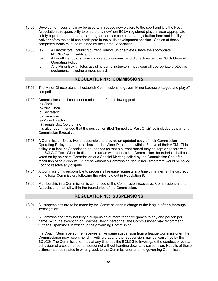- 16.05 Development sessions may be used to introduce new players to the sport and it is the Host Association's responsibility to ensure any new/non-BCLA registered players wear appropriate safety equipment, and that a parent/guardian has completed a registration form and liability waiver before the child can participate in the skills development session. Copies of these completed forms must be retained by the Home Association.
- 16.06 (a) All instructors, including current Senior/Junior athletes, have the appropriate NCCP Coach Certification.
	- (b) All adult instructors have completed a criminal record check as per the BCLA General Operating Policy.
	- (c) Any Minor Box athletes assisting camp instructors must wear all appropriate protective equipment, including a mouthguard.

# **REGULATION 17: COMMISSIONS**

- 17.01 The Minor Directorate shall establish Commissions to govern Minor Lacrosse league and playoff competition.
- 17.02 Commissions shall consist of a minimum of the following positions:
	- (a) Chair
	- (b) Vice Chair
	- (c) Secretary
	- (d) Treasurer
	- (e) Zone Director
	- (f) Female Box Co-ordinator

It is also recommended that the position entitled "Immediate Past Chair" be included as part of a Commission Executive.

- 17.03 A Commission Executive is responsible to provide an updated copy of their Commission Operating Policy on an annual basis to the Minor Directorate within 45 days of their AGM. This policy is to include Association boundaries so that a current record may be kept on record with the BCLA Office. When in dispute, in areas where there is a Commission, boundaries shall be voted on by an entire Commission at a Special Meeting called by the Commission Chair for resolution of said dispute. In areas without a Commission, the Minor Directorate would be called upon to resolve any dispute.
- 17.04 A Commission is responsible to process all release requests in a timely manner, at the discretion of the local Commission, following the rules laid out in Regulation 8.
- 17.05 Membership in a Commission is comprised of the Commission Executive, Commissioners and Associations that fall within the boundaries of the Commission.

# **REGULATION 18: SUSPENSIONS**

- 18.01 All suspensions are to be made by the Commissioner in charge of the league after a thorough investigation.
- 18.02 A Commissioner may not levy a suspension of more than five games to any one person per game. With the exception of Coaches/Bench personnel, the Commissioner may recommend further suspensions in writing to the governing Commission.

If a Coach /Bench personnel receives a five game suspension from a league Commissioner, the Commissioner may recommend in writing that a further suspension may be warranted by the BCLCG. The Commissioner may at any time ask the BCLCG to investigate the conduct or ethical behaviour of a coach or bench personnel without handing down any suspension. Results of these actions must be related in writing back to the Commissioner and the governing Commission.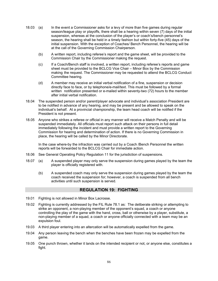- 18.03 (a) In the event a Commissioner asks for a levy of more than five games during regular season/league play or playoffs, there shall be a hearing within seven (7) days of the initial suspension, whereas at the conclusion of the player's or coach's/bench personnel's season, the hearing shall be held in a timely fashion but within forty-five (45) days of the initial suspension. With the exception of Coaches/ Bench Personnel, the hearing will be at the call of the Governing Commission Chairperson.
	- (b) A written report, including referee's report and the game sheet, will be provided to the Commission Chair by the Commissioner making the request.
	- (c) If a Coach/Bench staff is involved, a written report, including referee's reports and game sheet must be provided to the BCLCG Vice Chair – Minor Box by the Commission making the request. The Commissioner may be requested to attend the BCLCG Conduct Committee hearing.
	- (d) A member may receive an initial verbal notification of a fine, suspension or decision directly face to face, or by telephone/e-mail/text. This must be followed by a formal written notification presented or e-mailed within seventy-two (72) hours to the member after initial verbal notification.
- 18.04 The suspended person and/or parent/player advocate and individual's association President are to be notified in advance of any hearing, and may be present and be allowed to speak on the individual's behalf. At a provincial championship, the team head coach will be notified if the President is not present.
- 18.05 Anyone who strikes a referee or official in any manner will receive a Match Penalty and will be suspended immediately. All officials must report such attack on their persons in full detail immediately following the incident and must provide a written report to the Governing Commission for hearing and determination of action. If there is no Governing Commission in place, the hearing will be called by the Minor Directorate.

In the case where-by the infraction was carried out by a Coach /Bench Personnel the written reports will be forwarded to the BCLCG Chair for immediate action.

- 18.06 See General Operating Policy Regulation 11 for the jurisdiction of suspensions.
- 18.07 (a) A suspended player may only serve the suspension during games played by the team the player is officially registered with.
	- (b) A suspended coach may only serve the suspension during games played by the team the coach received the suspension for; however, a coach is suspended from all bench activities until such suspension is served.

# **REGULATION 19: FIGHTING**

- 19.01 Fighting is not allowed in Minor Box Lacrosse.
- 19.02 Fighting is currently addressed by the FIL Rule 78.1 as: The deliberate striking or attempting to strike an opponent, a non-playing member of the opponent's squad, a coach or anyone controlling the play of the game with the hand, cross, ball or otherwise by a player, substitute, a non-playing member of a squad, a coach or anyone officially connected with a team may be an expulsion foul.
- 19.03 A third player entering into an altercation will be automatically expelled from the game.
- 19.04 Any person leaving the bench when the benches have been frozen may be expelled from the game.
- 19.05 One punch thrown, whether it lands on the intended recipient or not, or anyone else, constitutes a fight.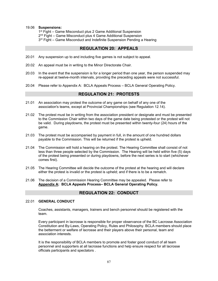#### 19.06 **Suspensions:**

1<sup>st</sup> Fight – Game Misconduct plus 2 Game Additional Suspension 2<sup>nd</sup> Fight – Game Misconduct plus 4 Game Additional Suspension 3<sup>rd</sup> Fight – Game Misconduct and Indefinite Suspension Pending a Hearing

#### **REGULATION 20: APPEALS**

- 20.01 Any suspension up to and including five games is not subject to appeal.
- 20.02 An appeal must be in writing to the Minor Directorate Chair.
- 20.03 In the event that the suspension is for a longer period than one year, the person suspended may re-appeal at twelve-month intervals, providing the preceding appeals were not successful.
- 20.04 Please refer to Appendix A: BCLA Appeals Process BCLA General Operating Policy.

# **REGULATION 21: PROTESTS**

- 21.01 An association may protest the outcome of any game on behalf of any one of the association's teams, except at Provincial Championships (see Regulation 12.14).
- 21.02 The protest must be in writing from the association president or designate and must be presented to the Commission Chair within two days of the game date being protested or the protest will not be valid. During playdowns, the protest must be presented within twenty-four (24) hours of the game.
- 21.03 The protest must be accompanied by payment in full, in the amount of one hundred dollars payable to the Commission. This will be returned if the protest is upheld.
- 21.04 The Commission will hold a hearing on the protest. The Hearing Committee shall consist of not less than three people selected by the Commission. The Hearing will be held within five (5) days of the protest being presented or during playdowns, before the next series is to start (whichever comes first).
- 21.05 The Hearing Committee will decide the outcome of the protest at the hearing and will declare either the protest is invalid or the protest is upheld; and if there is to be a rematch.
- 21.06 The decision of a Commission Hearing Committee may be appealed. Please refer to **Appendix A: BCLA Appeals Process– BCLA General Operating Policy.**

#### **REGULATION 22: CONDUCT**

#### 22.01 **GENERAL CONDUCT**

Coaches, assistants, managers, trainers and bench personnel should be registered with the team.

Every participant in lacrosse is responsible for proper observance of the BC Lacrosse Association Constitution and By-Laws, Operating Policy, Rules and Philosophy. BCLA members should place the betterment or welfare of lacrosse and their players above their personal, team and association interests.

It is the responsibility of BCLA members to promote and foster good conduct of all team personnel and supporters at all lacrosse functions and help ensure respect for all lacrosse officials participants and spectators .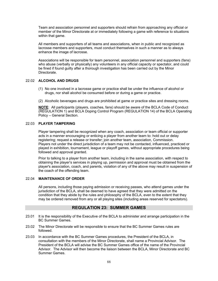Team and association personnel and supporters should refrain from approaching any official or member of the Minor Directorate at or immediately following a game with reference to situations within that game.

All members and supporters of all teams and associations, when in public and recognized as lacrosse members and supporters, must conduct themselves in such a manner as to always enhance the image of lacrosse.

Associations will be responsible for team personnel, association personnel and supporters (fans) who abuse (verbally or physically) any volunteers in any official capacity or spectator, and could be fined if found guilty after a thorough investigation has been carried out by the Minor Directorate.

#### 22.02 **ALCOHOL AND DRUGS**

- (1) No one involved in a lacrosse game or practice shall be under the influence of alcohol or drugs, nor shall alcohol be consumed before or during a game or practice.
- (2) Alcoholic beverages and drugs are prohibited at game or practice sites and dressing rooms.

**NOTE**: All participants (players, coaches, fans) should be aware of the BCLA Code of Conduct (REGULATION 1) and BCLA Doping Control Program (REGULATION 14) of the BCLA Operating Policy – General Section.

### 22.03 **PLAYER TAMPERING**

Player tampering shall be recognized when any coach, association or team official or supporter acts in a manner encouraging or enticing a player from another team to: hold out or delay registering; request a release or transfer; join another team, association, Commission. Players not under the direct jurisdiction of a team may not be contacted, influenced, practiced or played in exhibition, tournament, league or playoff games, without appropriate procedures being followed and approval granted.

Prior to talking to a player from another team, including in the same association, with respect to obtaining the player's services in playing up, permission and approval must be obtained from the player's association, coach, and parents, violation of any of the above may result in suspension of the coach of the offending team.

#### 22.04 **MAINTENANCE OF ORDER**

All persons, including those paying admission or receiving passes, who attend games under the jurisdiction of the BCLA, shall be deemed to have agreed that they were admitted on the condition that they abide by the rules and philosophy of the BCLA, even to the extent that they may be ordered removed from any or all playing sites (including areas reserved for spectators).

# **REGULATION 23: SUMMER GAMES**

- 23.01 It is the responsibility of the Executive of the BCLA to administer and arrange participation in the BC Summer Games.
- 23.02 The Minor Directorate will be responsible to ensure that the BC Summer Games rules are followed.
- 23.03 In accordance with the BC Summer Games procedures, the President of the BCLA, in consultation with the members of the Minor Directorate, shall name a Provincial Advisor. The President of the BCLA will advise the BC Summer Games office of the name of the Provincial Advisor. The Advisor will then become the liaison between the BCLA, Minor Directorate and BC Summer Games.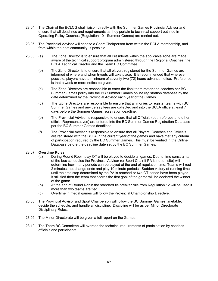- 23.04 The Chair of the BCLCG shall liaison directly with the Summer Games Provincial Advisor and ensure that all deadlines and requirements as they pertain to technical support outlined in Operating Policy Coaches (Regulation 10 - Summer Games) are carried out.
- 23.05 The Provincial Advisor will choose a Sport Chairperson from within the BCLA membership, and from within the host community, if possible.
- 23.06 (a) The Zone Director is to ensure that all Presidents within the applicable zone are made aware of the technical support program administered through the Regional Coaches, the BCLA Technical Director and the Team BC Committee.
	- (b) The Zone Director is to ensure that all players registered for the Summer Games are informed of where and when tryouts will take place. It is recommended that wherever possible, players have a minimum of seventy-two (72) hours advance notice. Preference is that a week or more notice be given.
	- (c) The Zone Directors are responsible to enter the final team roster and coaches per BC Summer Games policy into the BC Summer Games online registration database by the date determined by the Provincial Advisor each year of the Games.
	- (d) The Zone Directors are responsible to ensure that all monies to register teams with BC Summer Games and any Jersey fees are collected and into the BCLA office at least 7 days before the Summer Games registration deadline.
	- (e) The Provincial Advisor is responsible to ensure that all Officials (both referees and other official Representatives) are entered into the BC Summer Games Registration Database per the BC Summer Games deadlines.
	- (f) The Provincial Advisor is responsible to ensure that all Players, Coaches and Officials are registered with the BCLA in the current year of the games and have met any criteria of participation required by the BC Summer Games. This must be verified in the Online Database before the deadline date set by the BC Summer Games.

#### 23.07 **Overtime Rules**

- (a) During Round Robin play OT will be played to decide all games. Due to time constraints of the bus schedules the Provincial Advisor (or Sport Chair if PA is not on site) will determine how many periods can be played at the end of regulation time. Teams will rest 2 minutes, not change ends and play 10 minute periods , Sudden victory of running time until the time stop determined by the PA is reached or two OT period have been played. If still tied then the team that scores the first goal of the game will be declared the winner of the game.
- (b) At the end of Round Robin the standard tie breaker rule from Regulation 12 will be used if more than two teams are tied.
- (c) Overtime in medal games will follow the Provincial Championship Directive.
- 23.08 The Provincial Advisor and Sport Chairperson will follow the BC Summer Games timetable, decide the schedule, and handle all discipline. Discipline will be as per Minor Directorate Disciplinary Rules.
- 23.09 The Minor Directorate will be given a full report on the Games.
- 23.10 The Team BC Committee will oversee the technical requirements of participation by coaches officials and participants.